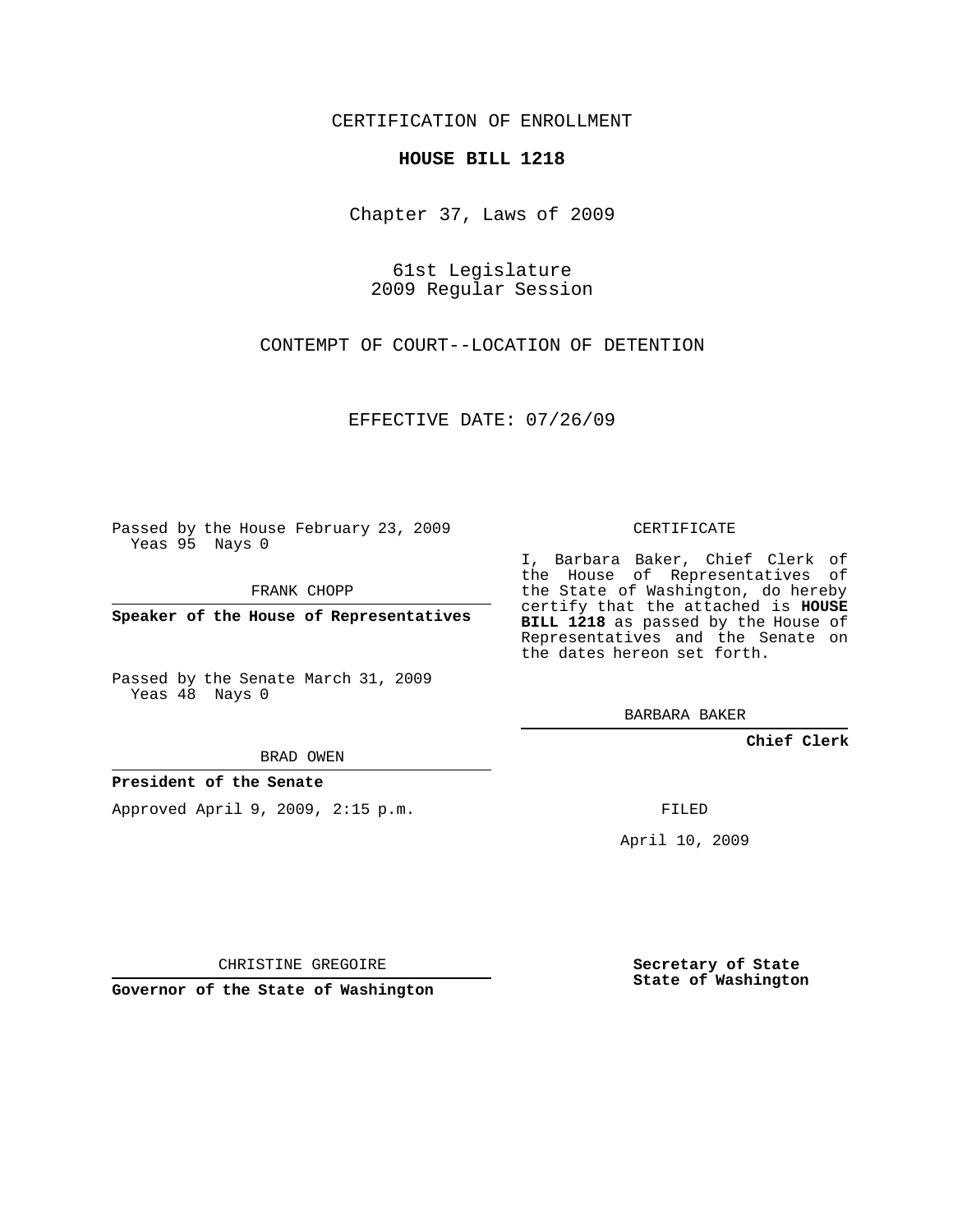## CERTIFICATION OF ENROLLMENT

## **HOUSE BILL 1218**

Chapter 37, Laws of 2009

61st Legislature 2009 Regular Session

CONTEMPT OF COURT--LOCATION OF DETENTION

EFFECTIVE DATE: 07/26/09

Passed by the House February 23, 2009 Yeas 95 Nays 0

FRANK CHOPP

**Speaker of the House of Representatives**

Passed by the Senate March 31, 2009 Yeas 48 Nays 0

BRAD OWEN

**President of the Senate**

Approved April 9, 2009, 2:15 p.m.

CERTIFICATE

I, Barbara Baker, Chief Clerk of the House of Representatives of the State of Washington, do hereby certify that the attached is **HOUSE BILL 1218** as passed by the House of Representatives and the Senate on the dates hereon set forth.

BARBARA BAKER

**Chief Clerk**

FILED

April 10, 2009

CHRISTINE GREGOIRE

**Governor of the State of Washington**

**Secretary of State State of Washington**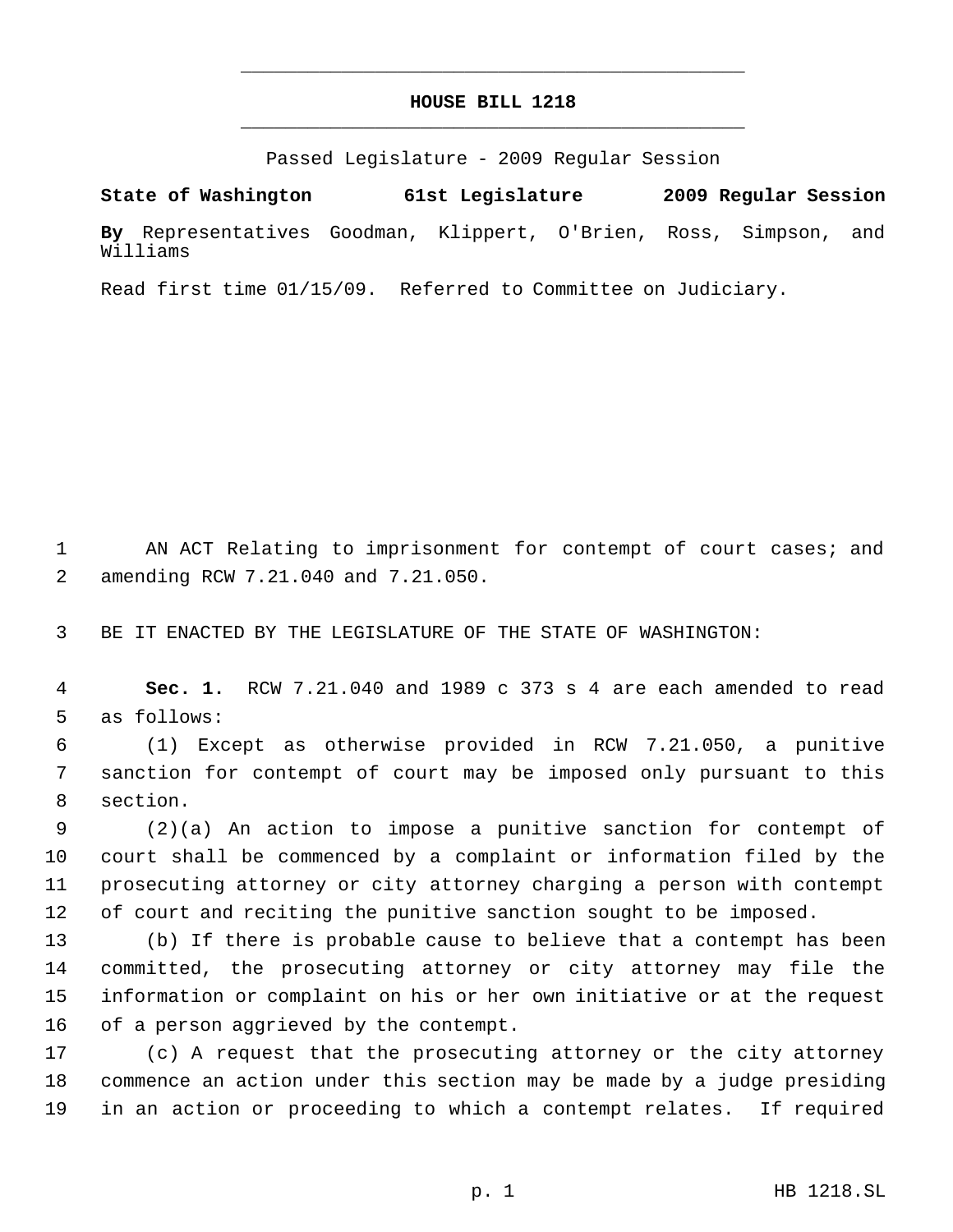## **HOUSE BILL 1218** \_\_\_\_\_\_\_\_\_\_\_\_\_\_\_\_\_\_\_\_\_\_\_\_\_\_\_\_\_\_\_\_\_\_\_\_\_\_\_\_\_\_\_\_\_

\_\_\_\_\_\_\_\_\_\_\_\_\_\_\_\_\_\_\_\_\_\_\_\_\_\_\_\_\_\_\_\_\_\_\_\_\_\_\_\_\_\_\_\_\_

Passed Legislature - 2009 Regular Session

**State of Washington 61st Legislature 2009 Regular Session By** Representatives Goodman, Klippert, O'Brien, Ross, Simpson, and Williams

Read first time 01/15/09. Referred to Committee on Judiciary.

1 AN ACT Relating to imprisonment for contempt of court cases; and amending RCW 7.21.040 and 7.21.050.

BE IT ENACTED BY THE LEGISLATURE OF THE STATE OF WASHINGTON:

 **Sec. 1.** RCW 7.21.040 and 1989 c 373 s 4 are each amended to read as follows:

 (1) Except as otherwise provided in RCW 7.21.050, a punitive sanction for contempt of court may be imposed only pursuant to this section.

 (2)(a) An action to impose a punitive sanction for contempt of court shall be commenced by a complaint or information filed by the prosecuting attorney or city attorney charging a person with contempt of court and reciting the punitive sanction sought to be imposed.

 (b) If there is probable cause to believe that a contempt has been committed, the prosecuting attorney or city attorney may file the information or complaint on his or her own initiative or at the request of a person aggrieved by the contempt.

 (c) A request that the prosecuting attorney or the city attorney commence an action under this section may be made by a judge presiding in an action or proceeding to which a contempt relates. If required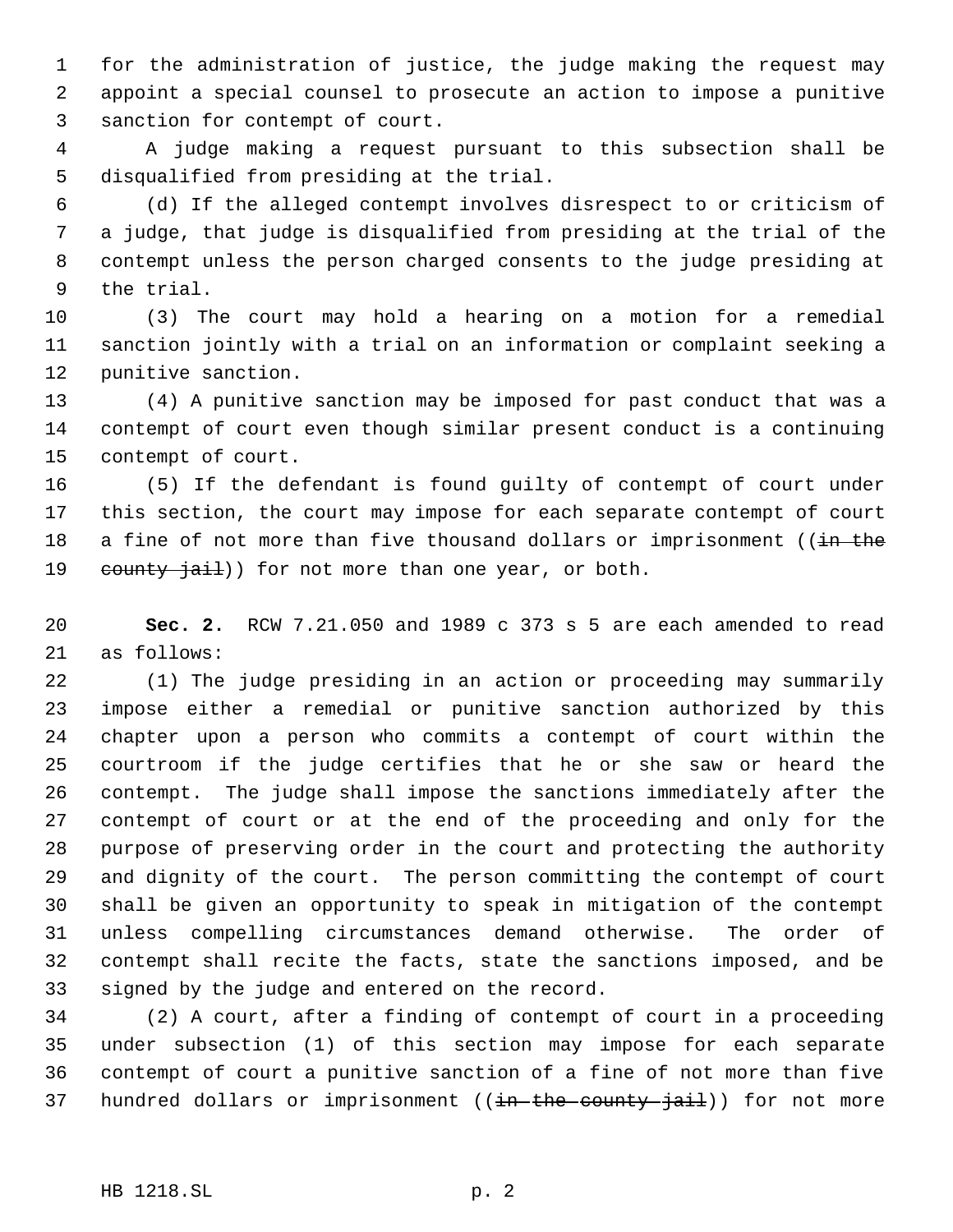for the administration of justice, the judge making the request may appoint a special counsel to prosecute an action to impose a punitive sanction for contempt of court.

 A judge making a request pursuant to this subsection shall be disqualified from presiding at the trial.

 (d) If the alleged contempt involves disrespect to or criticism of a judge, that judge is disqualified from presiding at the trial of the contempt unless the person charged consents to the judge presiding at the trial.

 (3) The court may hold a hearing on a motion for a remedial sanction jointly with a trial on an information or complaint seeking a punitive sanction.

 (4) A punitive sanction may be imposed for past conduct that was a contempt of court even though similar present conduct is a continuing contempt of court.

 (5) If the defendant is found guilty of contempt of court under this section, the court may impose for each separate contempt of court 18 a fine of not more than five thousand dollars or imprisonment ((in the 19 county jail)) for not more than one year, or both.

 **Sec. 2.** RCW 7.21.050 and 1989 c 373 s 5 are each amended to read as follows:

 (1) The judge presiding in an action or proceeding may summarily impose either a remedial or punitive sanction authorized by this chapter upon a person who commits a contempt of court within the courtroom if the judge certifies that he or she saw or heard the contempt. The judge shall impose the sanctions immediately after the contempt of court or at the end of the proceeding and only for the purpose of preserving order in the court and protecting the authority and dignity of the court. The person committing the contempt of court shall be given an opportunity to speak in mitigation of the contempt unless compelling circumstances demand otherwise. The order of contempt shall recite the facts, state the sanctions imposed, and be signed by the judge and entered on the record.

 (2) A court, after a finding of contempt of court in a proceeding under subsection (1) of this section may impose for each separate contempt of court a punitive sanction of a fine of not more than five 37 hundred dollars or imprisonment ((in the county jail)) for not more